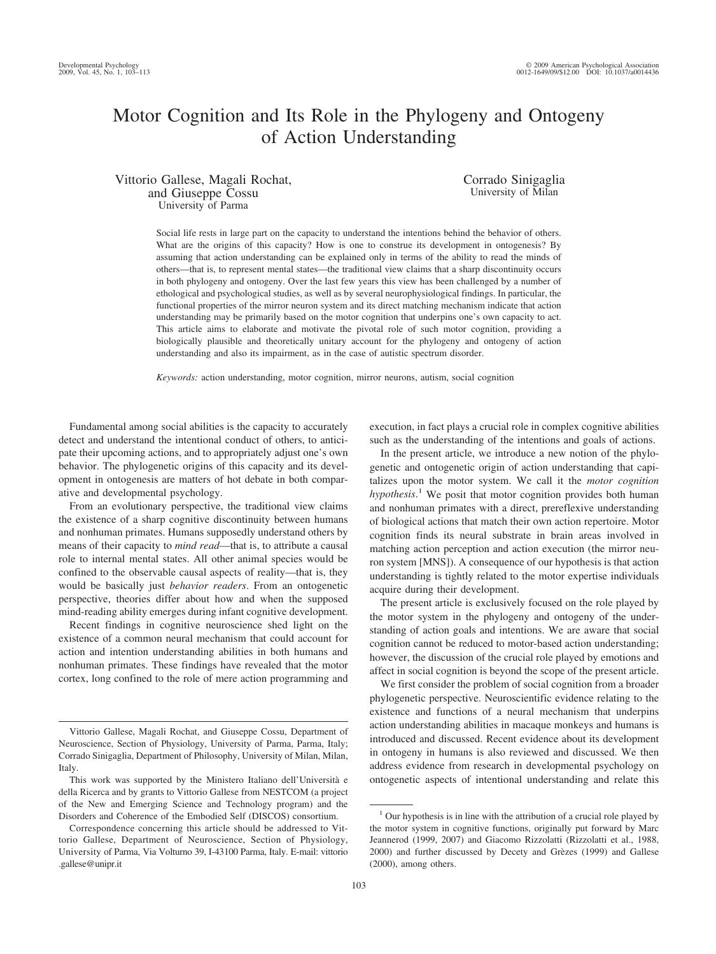# Motor Cognition and Its Role in the Phylogeny and Ontogeny of Action Understanding

Vittorio Gallese, Magali Rochat, and Giuseppe Cossu University of Parma

Corrado Sinigaglia University of Milan

execution, in fact plays a crucial role in complex cognitive abilities such as the understanding of the intentions and goals of actions. In the present article, we introduce a new notion of the phylogenetic and ontogenetic origin of action understanding that capitalizes upon the motor system. We call it the *motor cognition hypothesis*. <sup>1</sup> We posit that motor cognition provides both human and nonhuman primates with a direct, prereflexive understanding of biological actions that match their own action repertoire. Motor cognition finds its neural substrate in brain areas involved in matching action perception and action execution (the mirror neuron system [MNS]). A consequence of our hypothesis is that action understanding is tightly related to the motor expertise individuals

Social life rests in large part on the capacity to understand the intentions behind the behavior of others. What are the origins of this capacity? How is one to construe its development in ontogenesis? By assuming that action understanding can be explained only in terms of the ability to read the minds of others—that is, to represent mental states—the traditional view claims that a sharp discontinuity occurs in both phylogeny and ontogeny. Over the last few years this view has been challenged by a number of ethological and psychological studies, as well as by several neurophysiological findings. In particular, the functional properties of the mirror neuron system and its direct matching mechanism indicate that action understanding may be primarily based on the motor cognition that underpins one's own capacity to act. This article aims to elaborate and motivate the pivotal role of such motor cognition, providing a biologically plausible and theoretically unitary account for the phylogeny and ontogeny of action understanding and also its impairment, as in the case of autistic spectrum disorder.

*Keywords:* action understanding, motor cognition, mirror neurons, autism, social cognition

Fundamental among social abilities is the capacity to accurately detect and understand the intentional conduct of others, to anticipate their upcoming actions, and to appropriately adjust one's own behavior. The phylogenetic origins of this capacity and its development in ontogenesis are matters of hot debate in both comparative and developmental psychology.

From an evolutionary perspective, the traditional view claims the existence of a sharp cognitive discontinuity between humans and nonhuman primates. Humans supposedly understand others by means of their capacity to *mind read*—that is, to attribute a causal role to internal mental states. All other animal species would be confined to the observable causal aspects of reality—that is, they would be basically just *behavior readers*. From an ontogenetic perspective, theories differ about how and when the supposed mind-reading ability emerges during infant cognitive development.

Recent findings in cognitive neuroscience shed light on the existence of a common neural mechanism that could account for action and intention understanding abilities in both humans and nonhuman primates. These findings have revealed that the motor cortex, long confined to the role of mere action programming and

standing of action goals and intentions. We are aware that social cognition cannot be reduced to motor-based action understanding;

acquire during their development.

affect in social cognition is beyond the scope of the present article. We first consider the problem of social cognition from a broader phylogenetic perspective. Neuroscientific evidence relating to the existence and functions of a neural mechanism that underpins action understanding abilities in macaque monkeys and humans is introduced and discussed. Recent evidence about its development in ontogeny in humans is also reviewed and discussed. We then address evidence from research in developmental psychology on ontogenetic aspects of intentional understanding and relate this

however, the discussion of the crucial role played by emotions and

The present article is exclusively focused on the role played by the motor system in the phylogeny and ontogeny of the under-

Vittorio Gallese, Magali Rochat, and Giuseppe Cossu, Department of Neuroscience, Section of Physiology, University of Parma, Parma, Italy; Corrado Sinigaglia, Department of Philosophy, University of Milan, Milan, Italy.

This work was supported by the Ministero Italiano dell'Universita` e della Ricerca and by grants to Vittorio Gallese from NESTCOM (a project of the New and Emerging Science and Technology program) and the Disorders and Coherence of the Embodied Self (DISCOS) consortium.

Correspondence concerning this article should be addressed to Vittorio Gallese, Department of Neuroscience, Section of Physiology, University of Parma, Via Volturno 39, I-43100 Parma, Italy. E-mail: vittorio .gallese@unipr.it

<sup>&</sup>lt;sup>1</sup> Our hypothesis is in line with the attribution of a crucial role played by the motor system in cognitive functions, originally put forward by Marc Jeannerod (1999, 2007) and Giacomo Rizzolatti (Rizzolatti et al., 1988, 2000) and further discussed by Decety and Grèzes (1999) and Gallese (2000), among others.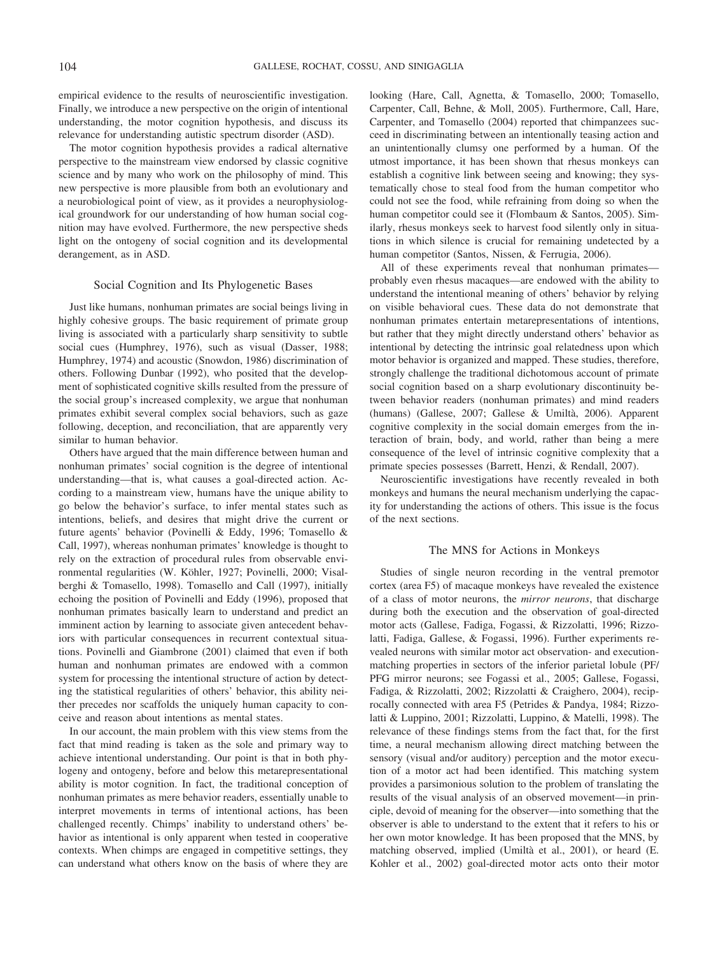empirical evidence to the results of neuroscientific investigation. Finally, we introduce a new perspective on the origin of intentional understanding, the motor cognition hypothesis, and discuss its relevance for understanding autistic spectrum disorder (ASD).

The motor cognition hypothesis provides a radical alternative perspective to the mainstream view endorsed by classic cognitive science and by many who work on the philosophy of mind. This new perspective is more plausible from both an evolutionary and a neurobiological point of view, as it provides a neurophysiological groundwork for our understanding of how human social cognition may have evolved. Furthermore, the new perspective sheds light on the ontogeny of social cognition and its developmental derangement, as in ASD.

#### Social Cognition and Its Phylogenetic Bases

Just like humans, nonhuman primates are social beings living in highly cohesive groups. The basic requirement of primate group living is associated with a particularly sharp sensitivity to subtle social cues (Humphrey, 1976), such as visual (Dasser, 1988; Humphrey, 1974) and acoustic (Snowdon, 1986) discrimination of others. Following Dunbar (1992), who posited that the development of sophisticated cognitive skills resulted from the pressure of the social group's increased complexity, we argue that nonhuman primates exhibit several complex social behaviors, such as gaze following, deception, and reconciliation, that are apparently very similar to human behavior.

Others have argued that the main difference between human and nonhuman primates' social cognition is the degree of intentional understanding—that is, what causes a goal-directed action. According to a mainstream view, humans have the unique ability to go below the behavior's surface, to infer mental states such as intentions, beliefs, and desires that might drive the current or future agents' behavior (Povinelli & Eddy, 1996; Tomasello & Call, 1997), whereas nonhuman primates' knowledge is thought to rely on the extraction of procedural rules from observable environmental regularities (W. Köhler, 1927; Povinelli, 2000; Visalberghi & Tomasello, 1998). Tomasello and Call (1997), initially echoing the position of Povinelli and Eddy (1996), proposed that nonhuman primates basically learn to understand and predict an imminent action by learning to associate given antecedent behaviors with particular consequences in recurrent contextual situations. Povinelli and Giambrone (2001) claimed that even if both human and nonhuman primates are endowed with a common system for processing the intentional structure of action by detecting the statistical regularities of others' behavior, this ability neither precedes nor scaffolds the uniquely human capacity to conceive and reason about intentions as mental states.

In our account, the main problem with this view stems from the fact that mind reading is taken as the sole and primary way to achieve intentional understanding. Our point is that in both phylogeny and ontogeny, before and below this metarepresentational ability is motor cognition. In fact, the traditional conception of nonhuman primates as mere behavior readers, essentially unable to interpret movements in terms of intentional actions, has been challenged recently. Chimps' inability to understand others' behavior as intentional is only apparent when tested in cooperative contexts. When chimps are engaged in competitive settings, they can understand what others know on the basis of where they are looking (Hare, Call, Agnetta, & Tomasello, 2000; Tomasello, Carpenter, Call, Behne, & Moll, 2005). Furthermore, Call, Hare, Carpenter, and Tomasello (2004) reported that chimpanzees succeed in discriminating between an intentionally teasing action and an unintentionally clumsy one performed by a human. Of the utmost importance, it has been shown that rhesus monkeys can establish a cognitive link between seeing and knowing; they systematically chose to steal food from the human competitor who could not see the food, while refraining from doing so when the human competitor could see it (Flombaum & Santos, 2005). Similarly, rhesus monkeys seek to harvest food silently only in situations in which silence is crucial for remaining undetected by a human competitor (Santos, Nissen, & Ferrugia, 2006).

All of these experiments reveal that nonhuman primates probably even rhesus macaques—are endowed with the ability to understand the intentional meaning of others' behavior by relying on visible behavioral cues. These data do not demonstrate that nonhuman primates entertain metarepresentations of intentions, but rather that they might directly understand others' behavior as intentional by detecting the intrinsic goal relatedness upon which motor behavior is organized and mapped. These studies, therefore, strongly challenge the traditional dichotomous account of primate social cognition based on a sharp evolutionary discontinuity between behavior readers (nonhuman primates) and mind readers (humans) (Gallese, 2007; Gallese & Umiltà, 2006). Apparent cognitive complexity in the social domain emerges from the interaction of brain, body, and world, rather than being a mere consequence of the level of intrinsic cognitive complexity that a primate species possesses (Barrett, Henzi, & Rendall, 2007).

Neuroscientific investigations have recently revealed in both monkeys and humans the neural mechanism underlying the capacity for understanding the actions of others. This issue is the focus of the next sections.

#### The MNS for Actions in Monkeys

Studies of single neuron recording in the ventral premotor cortex (area F5) of macaque monkeys have revealed the existence of a class of motor neurons, the *mirror neurons*, that discharge during both the execution and the observation of goal-directed motor acts (Gallese, Fadiga, Fogassi, & Rizzolatti, 1996; Rizzolatti, Fadiga, Gallese, & Fogassi, 1996). Further experiments revealed neurons with similar motor act observation- and executionmatching properties in sectors of the inferior parietal lobule (PF/ PFG mirror neurons; see Fogassi et al., 2005; Gallese, Fogassi, Fadiga, & Rizzolatti, 2002; Rizzolatti & Craighero, 2004), reciprocally connected with area F5 (Petrides & Pandya, 1984; Rizzolatti & Luppino, 2001; Rizzolatti, Luppino, & Matelli, 1998). The relevance of these findings stems from the fact that, for the first time, a neural mechanism allowing direct matching between the sensory (visual and/or auditory) perception and the motor execution of a motor act had been identified. This matching system provides a parsimonious solution to the problem of translating the results of the visual analysis of an observed movement—in principle, devoid of meaning for the observer—into something that the observer is able to understand to the extent that it refers to his or her own motor knowledge. It has been proposed that the MNS, by matching observed, implied (Umiltà et al., 2001), or heard (E. Kohler et al., 2002) goal-directed motor acts onto their motor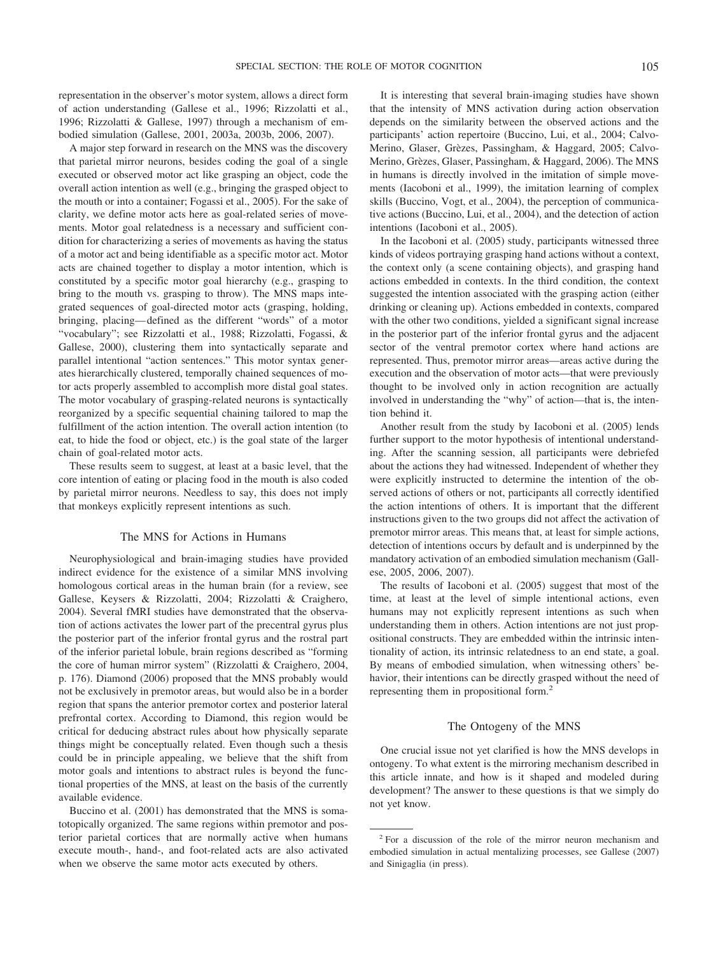representation in the observer's motor system, allows a direct form of action understanding (Gallese et al., 1996; Rizzolatti et al., 1996; Rizzolatti & Gallese, 1997) through a mechanism of embodied simulation (Gallese, 2001, 2003a, 2003b, 2006, 2007).

A major step forward in research on the MNS was the discovery that parietal mirror neurons, besides coding the goal of a single executed or observed motor act like grasping an object, code the overall action intention as well (e.g., bringing the grasped object to the mouth or into a container; Fogassi et al., 2005). For the sake of clarity, we define motor acts here as goal-related series of movements. Motor goal relatedness is a necessary and sufficient condition for characterizing a series of movements as having the status of a motor act and being identifiable as a specific motor act. Motor acts are chained together to display a motor intention, which is constituted by a specific motor goal hierarchy (e.g., grasping to bring to the mouth vs. grasping to throw). The MNS maps integrated sequences of goal-directed motor acts (grasping, holding, bringing, placing—defined as the different "words" of a motor "vocabulary"; see Rizzolatti et al., 1988; Rizzolatti, Fogassi, & Gallese, 2000), clustering them into syntactically separate and parallel intentional "action sentences." This motor syntax generates hierarchically clustered, temporally chained sequences of motor acts properly assembled to accomplish more distal goal states. The motor vocabulary of grasping-related neurons is syntactically reorganized by a specific sequential chaining tailored to map the fulfillment of the action intention. The overall action intention (to eat, to hide the food or object, etc.) is the goal state of the larger chain of goal-related motor acts.

These results seem to suggest, at least at a basic level, that the core intention of eating or placing food in the mouth is also coded by parietal mirror neurons. Needless to say, this does not imply that monkeys explicitly represent intentions as such.

### The MNS for Actions in Humans

Neurophysiological and brain-imaging studies have provided indirect evidence for the existence of a similar MNS involving homologous cortical areas in the human brain (for a review, see Gallese, Keysers & Rizzolatti, 2004; Rizzolatti & Craighero, 2004). Several fMRI studies have demonstrated that the observation of actions activates the lower part of the precentral gyrus plus the posterior part of the inferior frontal gyrus and the rostral part of the inferior parietal lobule, brain regions described as "forming the core of human mirror system" (Rizzolatti & Craighero, 2004, p. 176). Diamond (2006) proposed that the MNS probably would not be exclusively in premotor areas, but would also be in a border region that spans the anterior premotor cortex and posterior lateral prefrontal cortex. According to Diamond, this region would be critical for deducing abstract rules about how physically separate things might be conceptually related. Even though such a thesis could be in principle appealing, we believe that the shift from motor goals and intentions to abstract rules is beyond the functional properties of the MNS, at least on the basis of the currently available evidence.

Buccino et al. (2001) has demonstrated that the MNS is somatotopically organized. The same regions within premotor and posterior parietal cortices that are normally active when humans execute mouth-, hand-, and foot-related acts are also activated when we observe the same motor acts executed by others.

It is interesting that several brain-imaging studies have shown that the intensity of MNS activation during action observation depends on the similarity between the observed actions and the participants' action repertoire (Buccino, Lui, et al., 2004; Calvo-Merino, Glaser, Grèzes, Passingham, & Haggard, 2005; Calvo-Merino, Grèzes, Glaser, Passingham, & Haggard, 2006). The MNS in humans is directly involved in the imitation of simple movements (Iacoboni et al., 1999), the imitation learning of complex skills (Buccino, Vogt, et al., 2004), the perception of communicative actions (Buccino, Lui, et al., 2004), and the detection of action intentions (Iacoboni et al., 2005).

In the Iacoboni et al. (2005) study, participants witnessed three kinds of videos portraying grasping hand actions without a context, the context only (a scene containing objects), and grasping hand actions embedded in contexts. In the third condition, the context suggested the intention associated with the grasping action (either drinking or cleaning up). Actions embedded in contexts, compared with the other two conditions, yielded a significant signal increase in the posterior part of the inferior frontal gyrus and the adjacent sector of the ventral premotor cortex where hand actions are represented. Thus, premotor mirror areas—areas active during the execution and the observation of motor acts—that were previously thought to be involved only in action recognition are actually involved in understanding the "why" of action—that is, the intention behind it.

Another result from the study by Iacoboni et al. (2005) lends further support to the motor hypothesis of intentional understanding. After the scanning session, all participants were debriefed about the actions they had witnessed. Independent of whether they were explicitly instructed to determine the intention of the observed actions of others or not, participants all correctly identified the action intentions of others. It is important that the different instructions given to the two groups did not affect the activation of premotor mirror areas. This means that, at least for simple actions, detection of intentions occurs by default and is underpinned by the mandatory activation of an embodied simulation mechanism (Gallese, 2005, 2006, 2007).

The results of Iacoboni et al. (2005) suggest that most of the time, at least at the level of simple intentional actions, even humans may not explicitly represent intentions as such when understanding them in others. Action intentions are not just propositional constructs. They are embedded within the intrinsic intentionality of action, its intrinsic relatedness to an end state, a goal. By means of embodied simulation, when witnessing others' behavior, their intentions can be directly grasped without the need of representing them in propositional form.2

#### The Ontogeny of the MNS

One crucial issue not yet clarified is how the MNS develops in ontogeny. To what extent is the mirroring mechanism described in this article innate, and how is it shaped and modeled during development? The answer to these questions is that we simply do not yet know.

<sup>&</sup>lt;sup>2</sup> For a discussion of the role of the mirror neuron mechanism and embodied simulation in actual mentalizing processes, see Gallese (2007) and Sinigaglia (in press).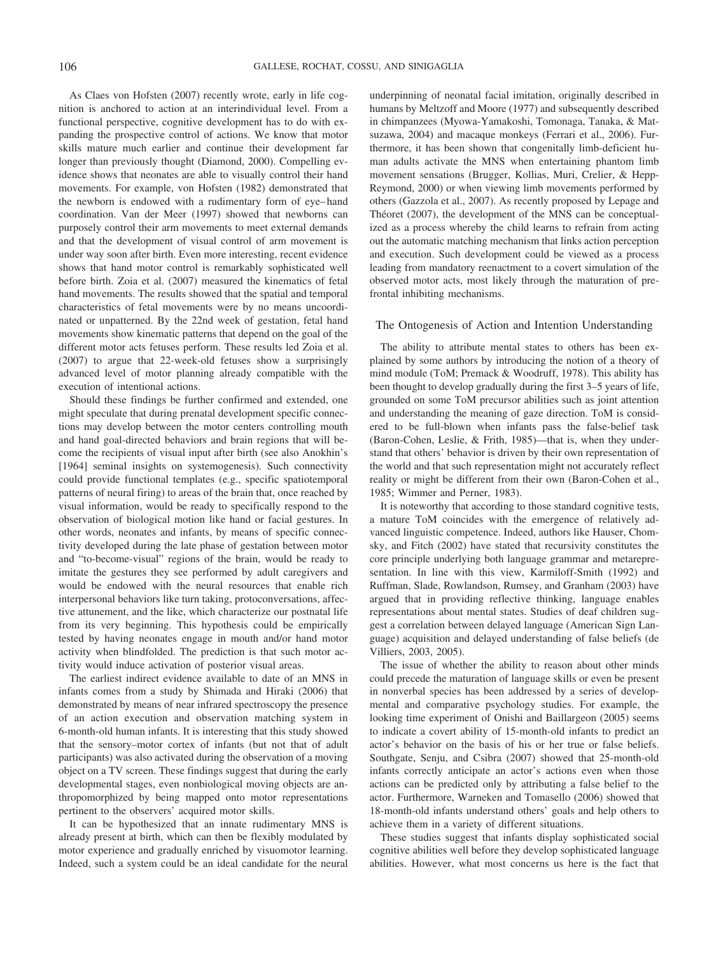As Claes von Hofsten (2007) recently wrote, early in life cognition is anchored to action at an interindividual level. From a functional perspective, cognitive development has to do with expanding the prospective control of actions. We know that motor skills mature much earlier and continue their development far longer than previously thought (Diamond, 2000). Compelling evidence shows that neonates are able to visually control their hand movements. For example, von Hofsten (1982) demonstrated that the newborn is endowed with a rudimentary form of eye–hand coordination. Van der Meer (1997) showed that newborns can purposely control their arm movements to meet external demands and that the development of visual control of arm movement is under way soon after birth. Even more interesting, recent evidence shows that hand motor control is remarkably sophisticated well before birth. Zoia et al. (2007) measured the kinematics of fetal hand movements. The results showed that the spatial and temporal characteristics of fetal movements were by no means uncoordinated or unpatterned. By the 22nd week of gestation, fetal hand movements show kinematic patterns that depend on the goal of the different motor acts fetuses perform. These results led Zoia et al. (2007) to argue that 22-week-old fetuses show a surprisingly advanced level of motor planning already compatible with the execution of intentional actions.

Should these findings be further confirmed and extended, one might speculate that during prenatal development specific connections may develop between the motor centers controlling mouth and hand goal-directed behaviors and brain regions that will become the recipients of visual input after birth (see also Anokhin's [1964] seminal insights on systemogenesis). Such connectivity could provide functional templates (e.g., specific spatiotemporal patterns of neural firing) to areas of the brain that, once reached by visual information, would be ready to specifically respond to the observation of biological motion like hand or facial gestures. In other words, neonates and infants, by means of specific connectivity developed during the late phase of gestation between motor and "to-become-visual" regions of the brain, would be ready to imitate the gestures they see performed by adult caregivers and would be endowed with the neural resources that enable rich interpersonal behaviors like turn taking, protoconversations, affective attunement, and the like, which characterize our postnatal life from its very beginning. This hypothesis could be empirically tested by having neonates engage in mouth and/or hand motor activity when blindfolded. The prediction is that such motor activity would induce activation of posterior visual areas.

The earliest indirect evidence available to date of an MNS in infants comes from a study by Shimada and Hiraki (2006) that demonstrated by means of near infrared spectroscopy the presence of an action execution and observation matching system in 6-month-old human infants. It is interesting that this study showed that the sensory–motor cortex of infants (but not that of adult participants) was also activated during the observation of a moving object on a TV screen. These findings suggest that during the early developmental stages, even nonbiological moving objects are anthropomorphized by being mapped onto motor representations pertinent to the observers' acquired motor skills.

It can be hypothesized that an innate rudimentary MNS is already present at birth, which can then be flexibly modulated by motor experience and gradually enriched by visuomotor learning. Indeed, such a system could be an ideal candidate for the neural underpinning of neonatal facial imitation, originally described in humans by Meltzoff and Moore (1977) and subsequently described in chimpanzees (Myowa-Yamakoshi, Tomonaga, Tanaka, & Matsuzawa, 2004) and macaque monkeys (Ferrari et al., 2006). Furthermore, it has been shown that congenitally limb-deficient human adults activate the MNS when entertaining phantom limb movement sensations (Brugger, Kollias, Muri, Crelier, & Hepp-Reymond, 2000) or when viewing limb movements performed by others (Gazzola et al., 2007). As recently proposed by Lepage and Théoret (2007), the development of the MNS can be conceptualized as a process whereby the child learns to refrain from acting out the automatic matching mechanism that links action perception and execution. Such development could be viewed as a process leading from mandatory reenactment to a covert simulation of the observed motor acts, most likely through the maturation of prefrontal inhibiting mechanisms.

#### The Ontogenesis of Action and Intention Understanding

The ability to attribute mental states to others has been explained by some authors by introducing the notion of a theory of mind module (ToM; Premack & Woodruff, 1978). This ability has been thought to develop gradually during the first 3–5 years of life, grounded on some ToM precursor abilities such as joint attention and understanding the meaning of gaze direction. ToM is considered to be full-blown when infants pass the false-belief task (Baron-Cohen, Leslie, & Frith, 1985)—that is, when they understand that others' behavior is driven by their own representation of the world and that such representation might not accurately reflect reality or might be different from their own (Baron-Cohen et al., 1985; Wimmer and Perner, 1983).

It is noteworthy that according to those standard cognitive tests, a mature ToM coincides with the emergence of relatively advanced linguistic competence. Indeed, authors like Hauser, Chomsky, and Fitch (2002) have stated that recursivity constitutes the core principle underlying both language grammar and metarepresentation. In line with this view, Karmiloff-Smith (1992) and Ruffman, Slade, Rowlandson, Rumsey, and Granham (2003) have argued that in providing reflective thinking, language enables representations about mental states. Studies of deaf children suggest a correlation between delayed language (American Sign Language) acquisition and delayed understanding of false beliefs (de Villiers, 2003, 2005).

The issue of whether the ability to reason about other minds could precede the maturation of language skills or even be present in nonverbal species has been addressed by a series of developmental and comparative psychology studies. For example, the looking time experiment of Onishi and Baillargeon (2005) seems to indicate a covert ability of 15-month-old infants to predict an actor's behavior on the basis of his or her true or false beliefs. Southgate, Senju, and Csibra (2007) showed that 25-month-old infants correctly anticipate an actor's actions even when those actions can be predicted only by attributing a false belief to the actor. Furthermore, Warneken and Tomasello (2006) showed that 18-month-old infants understand others' goals and help others to achieve them in a variety of different situations.

These studies suggest that infants display sophisticated social cognitive abilities well before they develop sophisticated language abilities. However, what most concerns us here is the fact that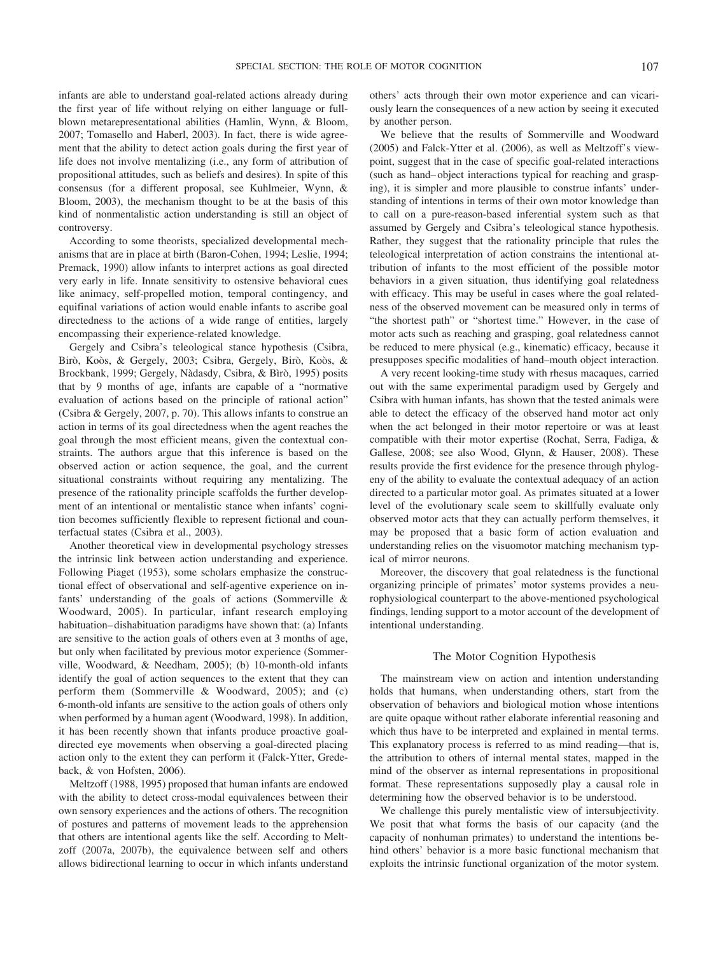infants are able to understand goal-related actions already during the first year of life without relying on either language or fullblown metarepresentational abilities (Hamlin, Wynn, & Bloom, 2007; Tomasello and Haberl, 2003). In fact, there is wide agreement that the ability to detect action goals during the first year of life does not involve mentalizing (i.e., any form of attribution of propositional attitudes, such as beliefs and desires). In spite of this consensus (for a different proposal, see Kuhlmeier, Wynn, & Bloom, 2003), the mechanism thought to be at the basis of this kind of nonmentalistic action understanding is still an object of controversy.

According to some theorists, specialized developmental mechanisms that are in place at birth (Baron-Cohen, 1994; Leslie, 1994; Premack, 1990) allow infants to interpret actions as goal directed very early in life. Innate sensitivity to ostensive behavioral cues like animacy, self-propelled motion, temporal contingency, and equifinal variations of action would enable infants to ascribe goal directedness to the actions of a wide range of entities, largely encompassing their experience-related knowledge.

Gergely and Csibra's teleological stance hypothesis (Csibra, Birò, Koòs, & Gergely, 2003; Csibra, Gergely, Birò, Koòs, & Brockbank, 1999; Gergely, Nàdasdy, Csibra, & Bìrò, 1995) posits that by 9 months of age, infants are capable of a "normative evaluation of actions based on the principle of rational action" (Csibra & Gergely, 2007, p. 70). This allows infants to construe an action in terms of its goal directedness when the agent reaches the goal through the most efficient means, given the contextual constraints. The authors argue that this inference is based on the observed action or action sequence, the goal, and the current situational constraints without requiring any mentalizing. The presence of the rationality principle scaffolds the further development of an intentional or mentalistic stance when infants' cognition becomes sufficiently flexible to represent fictional and counterfactual states (Csibra et al., 2003).

Another theoretical view in developmental psychology stresses the intrinsic link between action understanding and experience. Following Piaget (1953), some scholars emphasize the constructional effect of observational and self-agentive experience on infants' understanding of the goals of actions (Sommerville & Woodward, 2005). In particular, infant research employing habituation–dishabituation paradigms have shown that: (a) Infants are sensitive to the action goals of others even at 3 months of age, but only when facilitated by previous motor experience (Sommerville, Woodward, & Needham, 2005); (b) 10-month-old infants identify the goal of action sequences to the extent that they can perform them (Sommerville & Woodward, 2005); and (c) 6-month-old infants are sensitive to the action goals of others only when performed by a human agent (Woodward, 1998). In addition, it has been recently shown that infants produce proactive goaldirected eye movements when observing a goal-directed placing action only to the extent they can perform it (Falck-Ytter, Gredeback, & von Hofsten, 2006).

Meltzoff (1988, 1995) proposed that human infants are endowed with the ability to detect cross-modal equivalences between their own sensory experiences and the actions of others. The recognition of postures and patterns of movement leads to the apprehension that others are intentional agents like the self. According to Meltzoff (2007a, 2007b), the equivalence between self and others allows bidirectional learning to occur in which infants understand

others' acts through their own motor experience and can vicariously learn the consequences of a new action by seeing it executed by another person.

We believe that the results of Sommerville and Woodward (2005) and Falck-Ytter et al. (2006), as well as Meltzoff's viewpoint, suggest that in the case of specific goal-related interactions (such as hand–object interactions typical for reaching and grasping), it is simpler and more plausible to construe infants' understanding of intentions in terms of their own motor knowledge than to call on a pure-reason-based inferential system such as that assumed by Gergely and Csibra's teleological stance hypothesis. Rather, they suggest that the rationality principle that rules the teleological interpretation of action constrains the intentional attribution of infants to the most efficient of the possible motor behaviors in a given situation, thus identifying goal relatedness with efficacy. This may be useful in cases where the goal relatedness of the observed movement can be measured only in terms of "the shortest path" or "shortest time." However, in the case of motor acts such as reaching and grasping, goal relatedness cannot be reduced to mere physical (e.g., kinematic) efficacy, because it presupposes specific modalities of hand–mouth object interaction.

A very recent looking-time study with rhesus macaques, carried out with the same experimental paradigm used by Gergely and Csibra with human infants, has shown that the tested animals were able to detect the efficacy of the observed hand motor act only when the act belonged in their motor repertoire or was at least compatible with their motor expertise (Rochat, Serra, Fadiga, & Gallese, 2008; see also Wood, Glynn, & Hauser, 2008). These results provide the first evidence for the presence through phylogeny of the ability to evaluate the contextual adequacy of an action directed to a particular motor goal. As primates situated at a lower level of the evolutionary scale seem to skillfully evaluate only observed motor acts that they can actually perform themselves, it may be proposed that a basic form of action evaluation and understanding relies on the visuomotor matching mechanism typical of mirror neurons.

Moreover, the discovery that goal relatedness is the functional organizing principle of primates' motor systems provides a neurophysiological counterpart to the above-mentioned psychological findings, lending support to a motor account of the development of intentional understanding.

#### The Motor Cognition Hypothesis

The mainstream view on action and intention understanding holds that humans, when understanding others, start from the observation of behaviors and biological motion whose intentions are quite opaque without rather elaborate inferential reasoning and which thus have to be interpreted and explained in mental terms. This explanatory process is referred to as mind reading—that is, the attribution to others of internal mental states, mapped in the mind of the observer as internal representations in propositional format. These representations supposedly play a causal role in determining how the observed behavior is to be understood.

We challenge this purely mentalistic view of intersubjectivity. We posit that what forms the basis of our capacity (and the capacity of nonhuman primates) to understand the intentions behind others' behavior is a more basic functional mechanism that exploits the intrinsic functional organization of the motor system.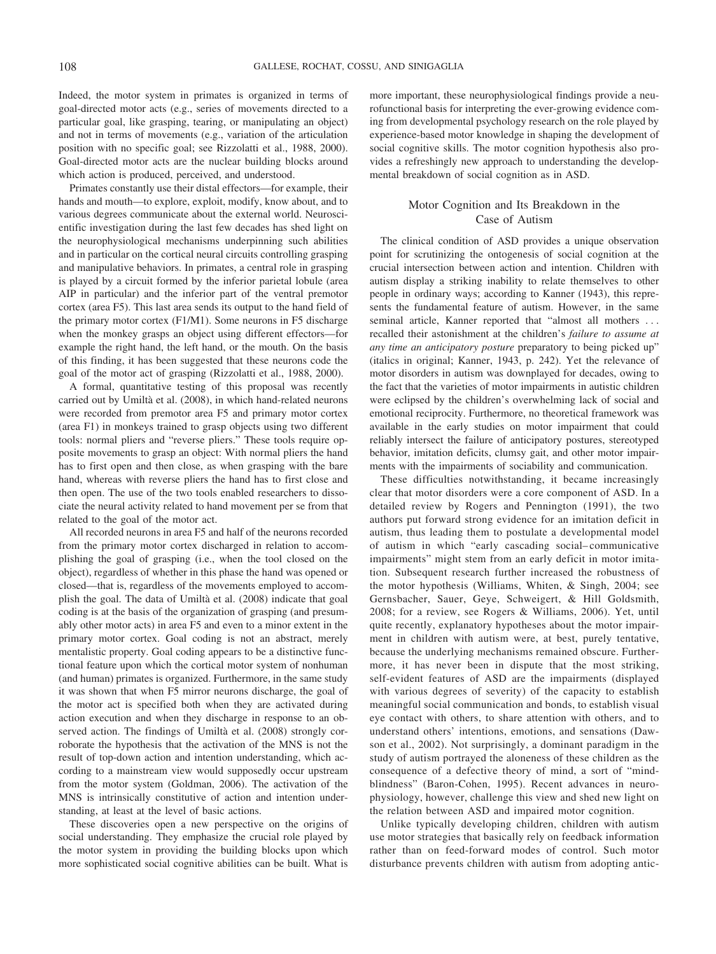Indeed, the motor system in primates is organized in terms of goal-directed motor acts (e.g., series of movements directed to a particular goal, like grasping, tearing, or manipulating an object) and not in terms of movements (e.g., variation of the articulation position with no specific goal; see Rizzolatti et al., 1988, 2000). Goal-directed motor acts are the nuclear building blocks around which action is produced, perceived, and understood.

Primates constantly use their distal effectors—for example, their hands and mouth—to explore, exploit, modify, know about, and to various degrees communicate about the external world. Neuroscientific investigation during the last few decades has shed light on the neurophysiological mechanisms underpinning such abilities and in particular on the cortical neural circuits controlling grasping and manipulative behaviors. In primates, a central role in grasping is played by a circuit formed by the inferior parietal lobule (area AIP in particular) and the inferior part of the ventral premotor cortex (area F5). This last area sends its output to the hand field of the primary motor cortex (F1/M1). Some neurons in F5 discharge when the monkey grasps an object using different effectors—for example the right hand, the left hand, or the mouth. On the basis of this finding, it has been suggested that these neurons code the goal of the motor act of grasping (Rizzolatti et al., 1988, 2000).

A formal, quantitative testing of this proposal was recently carried out by Umiltà et al. (2008), in which hand-related neurons were recorded from premotor area F5 and primary motor cortex (area F1) in monkeys trained to grasp objects using two different tools: normal pliers and "reverse pliers." These tools require opposite movements to grasp an object: With normal pliers the hand has to first open and then close, as when grasping with the bare hand, whereas with reverse pliers the hand has to first close and then open. The use of the two tools enabled researchers to dissociate the neural activity related to hand movement per se from that related to the goal of the motor act.

All recorded neurons in area F5 and half of the neurons recorded from the primary motor cortex discharged in relation to accomplishing the goal of grasping (i.e., when the tool closed on the object), regardless of whether in this phase the hand was opened or closed—that is, regardless of the movements employed to accomplish the goal. The data of Umiltà et al. (2008) indicate that goal coding is at the basis of the organization of grasping (and presumably other motor acts) in area F5 and even to a minor extent in the primary motor cortex. Goal coding is not an abstract, merely mentalistic property. Goal coding appears to be a distinctive functional feature upon which the cortical motor system of nonhuman (and human) primates is organized. Furthermore, in the same study it was shown that when F5 mirror neurons discharge, the goal of the motor act is specified both when they are activated during action execution and when they discharge in response to an observed action. The findings of Umiltà et al. (2008) strongly corroborate the hypothesis that the activation of the MNS is not the result of top-down action and intention understanding, which according to a mainstream view would supposedly occur upstream from the motor system (Goldman, 2006). The activation of the MNS is intrinsically constitutive of action and intention understanding, at least at the level of basic actions.

These discoveries open a new perspective on the origins of social understanding. They emphasize the crucial role played by the motor system in providing the building blocks upon which more sophisticated social cognitive abilities can be built. What is

more important, these neurophysiological findings provide a neurofunctional basis for interpreting the ever-growing evidence coming from developmental psychology research on the role played by experience-based motor knowledge in shaping the development of social cognitive skills. The motor cognition hypothesis also provides a refreshingly new approach to understanding the developmental breakdown of social cognition as in ASD.

## Motor Cognition and Its Breakdown in the Case of Autism

The clinical condition of ASD provides a unique observation point for scrutinizing the ontogenesis of social cognition at the crucial intersection between action and intention. Children with autism display a striking inability to relate themselves to other people in ordinary ways; according to Kanner (1943), this represents the fundamental feature of autism. However, in the same seminal article, Kanner reported that "almost all mothers ... recalled their astonishment at the children's *failure to assume at any time an anticipatory posture* preparatory to being picked up" (italics in original; Kanner, 1943, p. 242). Yet the relevance of motor disorders in autism was downplayed for decades, owing to the fact that the varieties of motor impairments in autistic children were eclipsed by the children's overwhelming lack of social and emotional reciprocity. Furthermore, no theoretical framework was available in the early studies on motor impairment that could reliably intersect the failure of anticipatory postures, stereotyped behavior, imitation deficits, clumsy gait, and other motor impairments with the impairments of sociability and communication.

These difficulties notwithstanding, it became increasingly clear that motor disorders were a core component of ASD. In a detailed review by Rogers and Pennington (1991), the two authors put forward strong evidence for an imitation deficit in autism, thus leading them to postulate a developmental model of autism in which "early cascading social–communicative impairments" might stem from an early deficit in motor imitation. Subsequent research further increased the robustness of the motor hypothesis (Williams, Whiten, & Singh, 2004; see Gernsbacher, Sauer, Geye, Schweigert, & Hill Goldsmith, 2008; for a review, see Rogers & Williams, 2006). Yet, until quite recently, explanatory hypotheses about the motor impairment in children with autism were, at best, purely tentative, because the underlying mechanisms remained obscure. Furthermore, it has never been in dispute that the most striking, self-evident features of ASD are the impairments (displayed with various degrees of severity) of the capacity to establish meaningful social communication and bonds, to establish visual eye contact with others, to share attention with others, and to understand others' intentions, emotions, and sensations (Dawson et al., 2002). Not surprisingly, a dominant paradigm in the study of autism portrayed the aloneness of these children as the consequence of a defective theory of mind, a sort of "mindblindness" (Baron-Cohen, 1995). Recent advances in neurophysiology, however, challenge this view and shed new light on the relation between ASD and impaired motor cognition.

Unlike typically developing children, children with autism use motor strategies that basically rely on feedback information rather than on feed-forward modes of control. Such motor disturbance prevents children with autism from adopting antic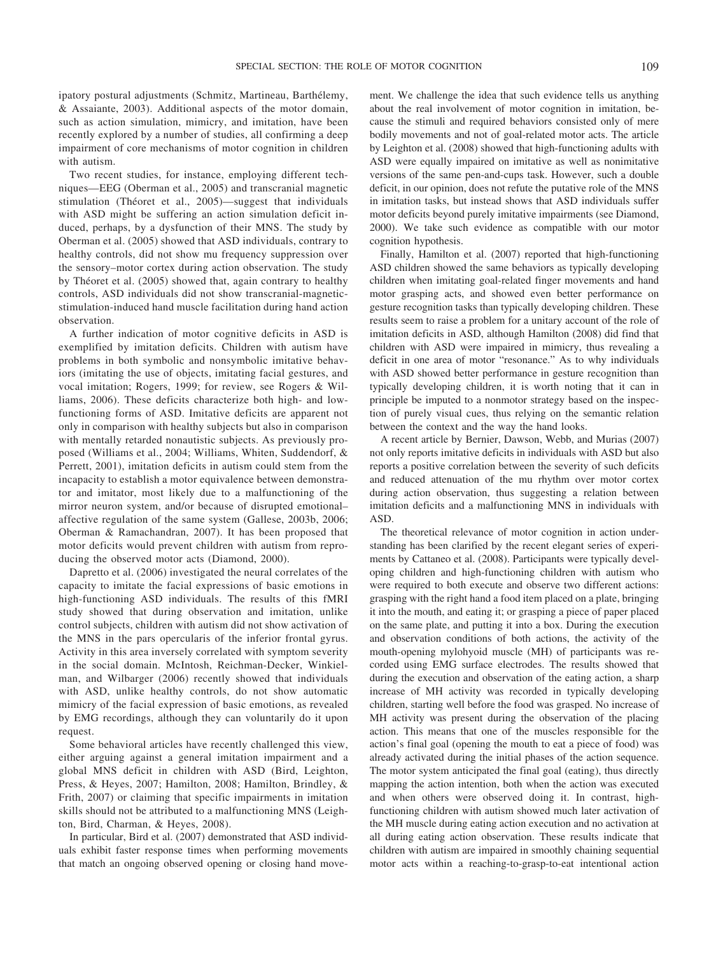SPECIAL SECTION: THE ROLE OF MOTOR COGNITION 109

ipatory postural adjustments (Schmitz, Martineau, Barthélemy, & Assaiante, 2003). Additional aspects of the motor domain, such as action simulation, mimicry, and imitation, have been recently explored by a number of studies, all confirming a deep impairment of core mechanisms of motor cognition in children with autism.

Two recent studies, for instance, employing different techniques—EEG (Oberman et al., 2005) and transcranial magnetic stimulation (Théoret et al., 2005)—suggest that individuals with ASD might be suffering an action simulation deficit induced, perhaps, by a dysfunction of their MNS. The study by Oberman et al. (2005) showed that ASD individuals, contrary to healthy controls, did not show mu frequency suppression over the sensory–motor cortex during action observation. The study by Théoret et al. (2005) showed that, again contrary to healthy controls, ASD individuals did not show transcranial-magneticstimulation-induced hand muscle facilitation during hand action observation.

A further indication of motor cognitive deficits in ASD is exemplified by imitation deficits. Children with autism have problems in both symbolic and nonsymbolic imitative behaviors (imitating the use of objects, imitating facial gestures, and vocal imitation; Rogers, 1999; for review, see Rogers & Williams, 2006). These deficits characterize both high- and lowfunctioning forms of ASD. Imitative deficits are apparent not only in comparison with healthy subjects but also in comparison with mentally retarded nonautistic subjects. As previously proposed (Williams et al., 2004; Williams, Whiten, Suddendorf, & Perrett, 2001), imitation deficits in autism could stem from the incapacity to establish a motor equivalence between demonstrator and imitator, most likely due to a malfunctioning of the mirror neuron system, and/or because of disrupted emotional– affective regulation of the same system (Gallese, 2003b, 2006; Oberman & Ramachandran, 2007). It has been proposed that motor deficits would prevent children with autism from reproducing the observed motor acts (Diamond, 2000).

Dapretto et al. (2006) investigated the neural correlates of the capacity to imitate the facial expressions of basic emotions in high-functioning ASD individuals. The results of this fMRI study showed that during observation and imitation, unlike control subjects, children with autism did not show activation of the MNS in the pars opercularis of the inferior frontal gyrus. Activity in this area inversely correlated with symptom severity in the social domain. McIntosh, Reichman-Decker, Winkielman, and Wilbarger (2006) recently showed that individuals with ASD, unlike healthy controls, do not show automatic mimicry of the facial expression of basic emotions, as revealed by EMG recordings, although they can voluntarily do it upon request.

Some behavioral articles have recently challenged this view, either arguing against a general imitation impairment and a global MNS deficit in children with ASD (Bird, Leighton, Press, & Heyes, 2007; Hamilton, 2008; Hamilton, Brindley, & Frith, 2007) or claiming that specific impairments in imitation skills should not be attributed to a malfunctioning MNS (Leighton, Bird, Charman, & Heyes, 2008).

In particular, Bird et al. (2007) demonstrated that ASD individuals exhibit faster response times when performing movements that match an ongoing observed opening or closing hand movement. We challenge the idea that such evidence tells us anything about the real involvement of motor cognition in imitation, because the stimuli and required behaviors consisted only of mere bodily movements and not of goal-related motor acts. The article by Leighton et al. (2008) showed that high-functioning adults with ASD were equally impaired on imitative as well as nonimitative versions of the same pen-and-cups task. However, such a double deficit, in our opinion, does not refute the putative role of the MNS in imitation tasks, but instead shows that ASD individuals suffer motor deficits beyond purely imitative impairments (see Diamond, 2000). We take such evidence as compatible with our motor cognition hypothesis.

Finally, Hamilton et al. (2007) reported that high-functioning ASD children showed the same behaviors as typically developing children when imitating goal-related finger movements and hand motor grasping acts, and showed even better performance on gesture recognition tasks than typically developing children. These results seem to raise a problem for a unitary account of the role of imitation deficits in ASD, although Hamilton (2008) did find that children with ASD were impaired in mimicry, thus revealing a deficit in one area of motor "resonance." As to why individuals with ASD showed better performance in gesture recognition than typically developing children, it is worth noting that it can in principle be imputed to a nonmotor strategy based on the inspection of purely visual cues, thus relying on the semantic relation between the context and the way the hand looks.

A recent article by Bernier, Dawson, Webb, and Murias (2007) not only reports imitative deficits in individuals with ASD but also reports a positive correlation between the severity of such deficits and reduced attenuation of the mu rhythm over motor cortex during action observation, thus suggesting a relation between imitation deficits and a malfunctioning MNS in individuals with ASD.

The theoretical relevance of motor cognition in action understanding has been clarified by the recent elegant series of experiments by Cattaneo et al. (2008). Participants were typically developing children and high-functioning children with autism who were required to both execute and observe two different actions: grasping with the right hand a food item placed on a plate, bringing it into the mouth, and eating it; or grasping a piece of paper placed on the same plate, and putting it into a box. During the execution and observation conditions of both actions, the activity of the mouth-opening mylohyoid muscle (MH) of participants was recorded using EMG surface electrodes. The results showed that during the execution and observation of the eating action, a sharp increase of MH activity was recorded in typically developing children, starting well before the food was grasped. No increase of MH activity was present during the observation of the placing action. This means that one of the muscles responsible for the action's final goal (opening the mouth to eat a piece of food) was already activated during the initial phases of the action sequence. The motor system anticipated the final goal (eating), thus directly mapping the action intention, both when the action was executed and when others were observed doing it. In contrast, highfunctioning children with autism showed much later activation of the MH muscle during eating action execution and no activation at all during eating action observation. These results indicate that children with autism are impaired in smoothly chaining sequential motor acts within a reaching-to-grasp-to-eat intentional action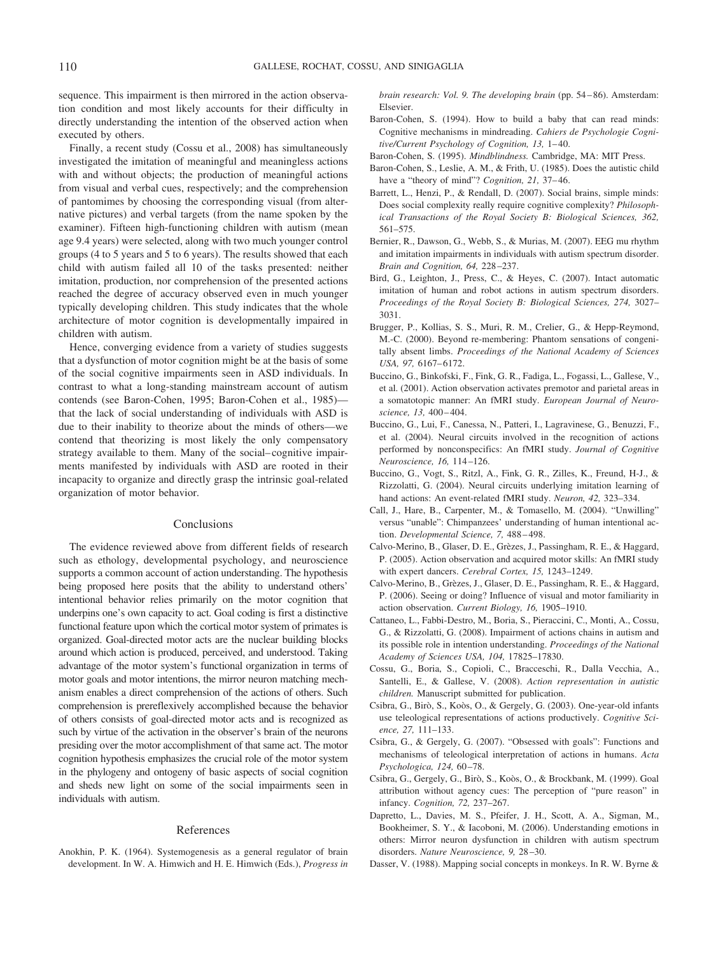sequence. This impairment is then mirrored in the action observation condition and most likely accounts for their difficulty in directly understanding the intention of the observed action when executed by others.

Finally, a recent study (Cossu et al., 2008) has simultaneously investigated the imitation of meaningful and meaningless actions with and without objects; the production of meaningful actions from visual and verbal cues, respectively; and the comprehension of pantomimes by choosing the corresponding visual (from alternative pictures) and verbal targets (from the name spoken by the examiner). Fifteen high-functioning children with autism (mean age 9.4 years) were selected, along with two much younger control groups (4 to 5 years and 5 to 6 years). The results showed that each child with autism failed all 10 of the tasks presented: neither imitation, production, nor comprehension of the presented actions reached the degree of accuracy observed even in much younger typically developing children. This study indicates that the whole architecture of motor cognition is developmentally impaired in children with autism.

Hence, converging evidence from a variety of studies suggests that a dysfunction of motor cognition might be at the basis of some of the social cognitive impairments seen in ASD individuals. In contrast to what a long-standing mainstream account of autism contends (see Baron-Cohen, 1995; Baron-Cohen et al., 1985) that the lack of social understanding of individuals with ASD is due to their inability to theorize about the minds of others—we contend that theorizing is most likely the only compensatory strategy available to them. Many of the social–cognitive impairments manifested by individuals with ASD are rooted in their incapacity to organize and directly grasp the intrinsic goal-related organization of motor behavior.

### Conclusions

The evidence reviewed above from different fields of research such as ethology, developmental psychology, and neuroscience supports a common account of action understanding. The hypothesis being proposed here posits that the ability to understand others' intentional behavior relies primarily on the motor cognition that underpins one's own capacity to act. Goal coding is first a distinctive functional feature upon which the cortical motor system of primates is organized. Goal-directed motor acts are the nuclear building blocks around which action is produced, perceived, and understood. Taking advantage of the motor system's functional organization in terms of motor goals and motor intentions, the mirror neuron matching mechanism enables a direct comprehension of the actions of others. Such comprehension is prereflexively accomplished because the behavior of others consists of goal-directed motor acts and is recognized as such by virtue of the activation in the observer's brain of the neurons presiding over the motor accomplishment of that same act. The motor cognition hypothesis emphasizes the crucial role of the motor system in the phylogeny and ontogeny of basic aspects of social cognition and sheds new light on some of the social impairments seen in individuals with autism.

#### References

Anokhin, P. K. (1964). Systemogenesis as a general regulator of brain development. In W. A. Himwich and H. E. Himwich (Eds.), *Progress in* *brain research: Vol. 9. The developing brain* (pp. 54–86). Amsterdam: Elsevier.

- Baron-Cohen, S. (1994). How to build a baby that can read minds: Cognitive mechanisms in mindreading. *Cahiers de Psychologie Cognitive/Current Psychology of Cognition, 13,* 1–40.
- Baron-Cohen, S. (1995). *Mindblindness.* Cambridge, MA: MIT Press.
- Baron-Cohen, S., Leslie, A. M., & Frith, U. (1985). Does the autistic child have a "theory of mind"? *Cognition, 21,* 37–46.
- Barrett, L., Henzi, P., & Rendall, D. (2007). Social brains, simple minds: Does social complexity really require cognitive complexity? *Philosophical Transactions of the Royal Society B: Biological Sciences, 362,* 561–575.
- Bernier, R., Dawson, G., Webb, S., & Murias, M. (2007). EEG mu rhythm and imitation impairments in individuals with autism spectrum disorder. *Brain and Cognition, 64,* 228–237.
- Bird, G., Leighton, J., Press, C., & Heyes, C. (2007). Intact automatic imitation of human and robot actions in autism spectrum disorders. *Proceedings of the Royal Society B: Biological Sciences, 274,* 3027– 3031.
- Brugger, P., Kollias, S. S., Muri, R. M., Crelier, G., & Hepp-Reymond, M.-C. (2000). Beyond re-membering: Phantom sensations of congenitally absent limbs. *Proceedings of the National Academy of Sciences USA, 97,* 6167–6172.
- Buccino, G., Binkofski, F., Fink, G. R., Fadiga, L., Fogassi, L., Gallese, V., et al. (2001). Action observation activates premotor and parietal areas in a somatotopic manner: An fMRI study. *European Journal of Neuroscience, 13,* 400–404.
- Buccino, G., Lui, F., Canessa, N., Patteri, I., Lagravinese, G., Benuzzi, F., et al. (2004). Neural circuits involved in the recognition of actions performed by nonconspecifics: An fMRI study. *Journal of Cognitive Neuroscience, 16,* 114–126.
- Buccino, G., Vogt, S., Ritzl, A., Fink, G. R., Zilles, K., Freund, H-J., & Rizzolatti, G. (2004). Neural circuits underlying imitation learning of hand actions: An event-related fMRI study. *Neuron, 42,* 323–334.
- Call, J., Hare, B., Carpenter, M., & Tomasello, M. (2004). "Unwilling" versus "unable": Chimpanzees' understanding of human intentional action. *Developmental Science, 7,* 488–498.
- Calvo-Merino, B., Glaser, D. E., Grèzes, J., Passingham, R. E., & Haggard, P. (2005). Action observation and acquired motor skills: An fMRI study with expert dancers. *Cerebral Cortex, 15,* 1243–1249.
- Calvo-Merino, B., Grèzes, J., Glaser, D. E., Passingham, R. E., & Haggard, P. (2006). Seeing or doing? Influence of visual and motor familiarity in action observation. *Current Biology, 16,* 1905–1910.
- Cattaneo, L., Fabbi-Destro, M., Boria, S., Pieraccini, C., Monti, A., Cossu, G., & Rizzolatti, G. (2008). Impairment of actions chains in autism and its possible role in intention understanding. *Proceedings of the National Academy of Sciences USA, 104,* 17825–17830.
- Cossu, G., Boria, S., Copioli, C., Bracceschi, R., Dalla Vecchia, A., Santelli, E., & Gallese, V. (2008). *Action representation in autistic children.* Manuscript submitted for publication.
- Csibra, G., Birò, S., Koòs, O., & Gergely, G. (2003). One-year-old infants use teleological representations of actions productively. *Cognitive Science, 27,* 111–133.
- Csibra, G., & Gergely, G. (2007). "Obsessed with goals": Functions and mechanisms of teleological interpretation of actions in humans. *Acta Psychologica, 124,* 60–78.
- Csibra, G., Gergely, G., Birò, S., Koòs, O., & Brockbank, M. (1999). Goal attribution without agency cues: The perception of "pure reason" in infancy. *Cognition, 72,* 237–267.
- Dapretto, L., Davies, M. S., Pfeifer, J. H., Scott, A. A., Sigman, M., Bookheimer, S. Y., & Iacoboni, M. (2006). Understanding emotions in others: Mirror neuron dysfunction in children with autism spectrum disorders. *Nature Neuroscience, 9,* 28–30.
- Dasser, V. (1988). Mapping social concepts in monkeys. In R. W. Byrne &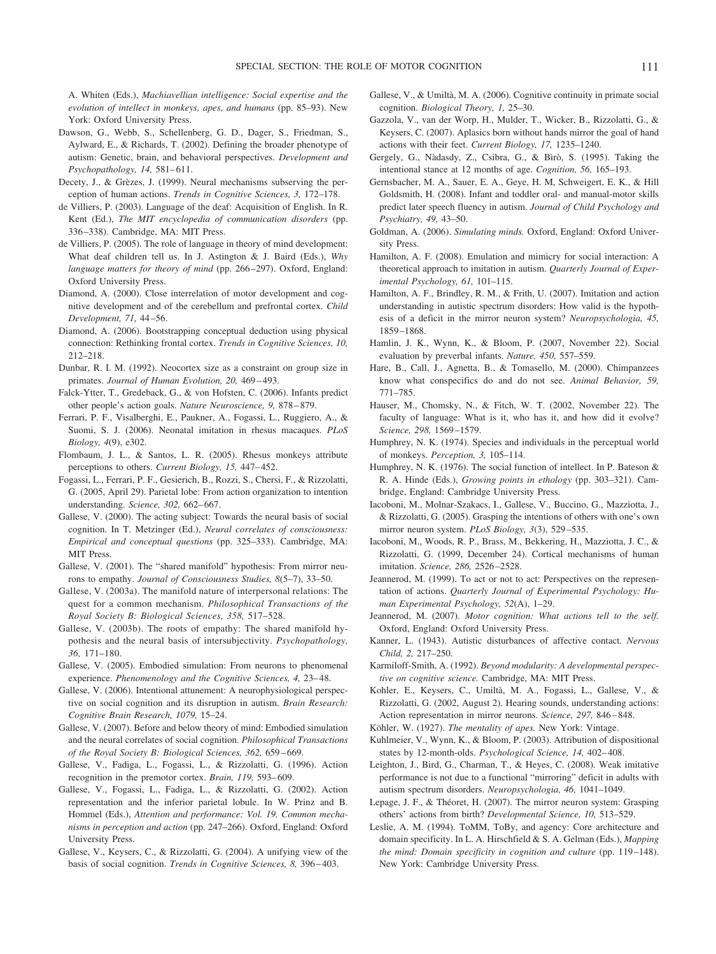A. Whiten (Eds.), *Machiavellian intelligence: Social expertise and the evolution of intellect in monkeys, apes, and humans* (pp. 85–93). New York: Oxford University Press.

- Dawson, G., Webb, S., Schellenberg, G. D., Dager, S., Friedman, S., Aylward, E., & Richards, T. (2002). Defining the broader phenotype of autism: Genetic, brain, and behavioral perspectives. *Development and Psychopathology, 14,* 581–611.
- Decety, J., & Grèzes, J. (1999). Neural mechanisms subserving the perception of human actions. *Trends in Cognitive Sciences, 3,* 172–178.
- de Villiers, P. (2003). Language of the deaf: Acquisition of English. In R. Kent (Ed.), *The MIT encyclopedia of communication disorders* (pp. 336–338). Cambridge, MA: MIT Press.
- de Villiers, P. (2005). The role of language in theory of mind development: What deaf children tell us. In J. Astington & J. Baird (Eds.), *Why language matters for theory of mind* (pp. 266–297). Oxford, England: Oxford University Press.
- Diamond, A. (2000). Close interrelation of motor development and cognitive development and of the cerebellum and prefrontal cortex. *Child Development, 71,* 44–56.
- Diamond, A. (2006). Bootstrapping conceptual deduction using physical connection: Rethinking frontal cortex. *Trends in Cognitive Sciences, 10,* 212–218.
- Dunbar, R. I. M. (1992). Neocortex size as a constraint on group size in primates. *Journal of Human Evolution, 20,* 469–493.
- Falck-Ytter, T., Gredeback, G., & von Hofsten, C. (2006). Infants predict other people's action goals. *Nature Neuroscience, 9,* 878–879.
- Ferrari, P. F., Visalberghi, E., Paukner, A., Fogassi, L., Ruggiero, A., & Suomi, S. J. (2006). Neonatal imitation in rhesus macaques. *PLoS Biology, 4*(9), e302.
- Flombaum, J. L., & Santos, L. R. (2005). Rhesus monkeys attribute perceptions to others. *Current Biology, 15,* 447–452.
- Fogassi, L., Ferrari, P. F., Gesierich, B., Rozzi, S., Chersi, F., & Rizzolatti, G. (2005, April 29). Parietal lobe: From action organization to intention understanding. *Science, 302,* 662–667.
- Gallese, V. (2000). The acting subject: Towards the neural basis of social cognition. In T. Metzinger (Ed.), *Neural correlates of consciousness: Empirical and conceptual questions* (pp. 325–333). Cambridge, MA: MIT Press.
- Gallese, V. (2001). The "shared manifold" hypothesis: From mirror neurons to empathy. *Journal of Consciousness Studies, 8*(5–7), 33–50.
- Gallese, V. (2003a). The manifold nature of interpersonal relations: The quest for a common mechanism. *Philosophical Transactions of the Royal Society B: Biological Sciences, 358,* 517–528.
- Gallese, V. (2003b). The roots of empathy: The shared manifold hypothesis and the neural basis of intersubjectivity. *Psychopathology, 36,* 171–180.
- Gallese, V. (2005). Embodied simulation: From neurons to phenomenal experience. *Phenomenology and the Cognitive Sciences, 4,* 23–48.
- Gallese, V. (2006). Intentional attunement: A neurophysiological perspective on social cognition and its disruption in autism. *Brain Research: Cognitive Brain Research, 1079,* 15–24.
- Gallese, V. (2007). Before and below theory of mind: Embodied simulation and the neural correlates of social cognition. *Philosophical Transactions of the Royal Society B: Biological Sciences, 362,* 659–669.
- Gallese, V., Fadiga, L., Fogassi, L., & Rizzolatti, G. (1996). Action recognition in the premotor cortex. *Brain, 119,* 593–609.
- Gallese, V., Fogassi, L., Fadiga, L., & Rizzolatti, G. (2002). Action representation and the inferior parietal lobule. In W. Prinz and B. Hommel (Eds.), *Attention and performance: Vol. 19. Common mechanisms in perception and action* (pp. 247–266). Oxford, England: Oxford University Press.
- Gallese, V., Keysers, C., & Rizzolatti, G. (2004). A unifying view of the basis of social cognition. *Trends in Cognitive Sciences, 8,* 396–403.
- Gallese, V., & Umiltà, M. A. (2006). Cognitive continuity in primate social cognition. *Biological Theory, 1,* 25–30.
- Gazzola, V., van der Worp, H., Mulder, T., Wicker, B., Rizzolatti, G., & Keysers, C. (2007). Aplasics born without hands mirror the goal of hand actions with their feet. *Current Biology, 17,* 1235–1240.
- Gergely, G., Nàdasdy, Z., Csibra, G., & Bìrò, S. (1995). Taking the intentional stance at 12 months of age. *Cognition, 56,* 165–193.
- Gernsbacher, M. A., Sauer, E. A., Geye, H. M, Schweigert, E. K., & Hill Goldsmith, H. (2008). Infant and toddler oral- and manual-motor skills predict later speech fluency in autism. *Journal of Child Psychology and Psychiatry, 49,* 43–50.
- Goldman, A. (2006). *Simulating minds.* Oxford, England: Oxford University Press.
- Hamilton, A. F. (2008). Emulation and mimicry for social interaction: A theoretical approach to imitation in autism. *Quarterly Journal of Experimental Psychology, 61,* 101–115.
- Hamilton, A. F., Brindley, R. M., & Frith, U. (2007). Imitation and action understanding in autistic spectrum disorders: How valid is the hypothesis of a deficit in the mirror neuron system? *Neuropsychologia, 45,* 1859–1868.
- Hamlin, J. K., Wynn, K., & Bloom, P. (2007, November 22). Social evaluation by preverbal infants. *Nature, 450,* 557–559.
- Hare, B., Call, J., Agnetta, B., & Tomasello, M. (2000). Chimpanzees know what conspecifics do and do not see. *Animal Behavior, 59,* 771–785.
- Hauser, M., Chomsky, N., & Fitch, W. T. (2002, November 22). The faculty of language: What is it, who has it, and how did it evolve? *Science, 298,* 1569–1579.
- Humphrey, N. K. (1974). Species and individuals in the perceptual world of monkeys. *Perception, 3,* 105–114.
- Humphrey, N. K. (1976). The social function of intellect. In P. Bateson & R. A. Hinde (Eds.), *Growing points in ethology* (pp. 303–321). Cambridge, England: Cambridge University Press.
- Iacoboni, M., Molnar-Szakacs, I., Gallese, V., Buccino, G., Mazziotta, J., & Rizzolatti, G. (2005). Grasping the intentions of others with one's own mirror neuron system. *PLoS Biology, 3*(3), 529–535.
- Iacoboni, M., Woods, R. P., Brass, M., Bekkering, H., Mazziotta, J. C., & Rizzolatti, G. (1999, December 24). Cortical mechanisms of human imitation. *Science, 286,* 2526–2528.
- Jeannerod, M. (1999). To act or not to act: Perspectives on the representation of actions. *Quarterly Journal of Experimental Psychology: Human Experimental Psychology, 52*(A), 1–29.
- Jeannerod, M. (2007). *Motor cognition: What actions tell to the self.* Oxford, England: Oxford University Press.
- Kanner, L. (1943). Autistic disturbances of affective contact. *Nervous Child, 2,* 217–250.
- Karmiloff-Smith, A. (1992). *Beyond modularity: A developmental perspective on cognitive science.* Cambridge, MA: MIT Press.
- Kohler, E., Keysers, C., Umiltà, M. A., Fogassi, L., Gallese, V., & Rizzolatti, G. (2002, August 2). Hearing sounds, understanding actions: Action representation in mirror neurons. *Science, 297,* 846–848.
- Köhler, W. (1927). *The mentality of apes*. New York: Vintage.
- Kuhlmeier, V., Wynn, K., & Bloom, P. (2003). Attribution of dispositional states by 12-month-olds. *Psychological Science, 14,* 402–408.
- Leighton, J., Bird, G., Charman, T., & Heyes, C. (2008). Weak imitative performance is not due to a functional "mirroring" deficit in adults with autism spectrum disorders. *Neuropsychologia, 46,* 1041–1049.
- Lepage, J. F., & Théoret, H. (2007). The mirror neuron system: Grasping others' actions from birth? *Developmental Science, 10,* 513–529.
- Leslie, A. M. (1994). ToMM, ToBy, and agency: Core architecture and domain specificity. In L. A. Hirschfield & S. A. Gelman (Eds.), *Mapping the mind: Domain specificity in cognition and culture* (pp. 119–148). New York: Cambridge University Press.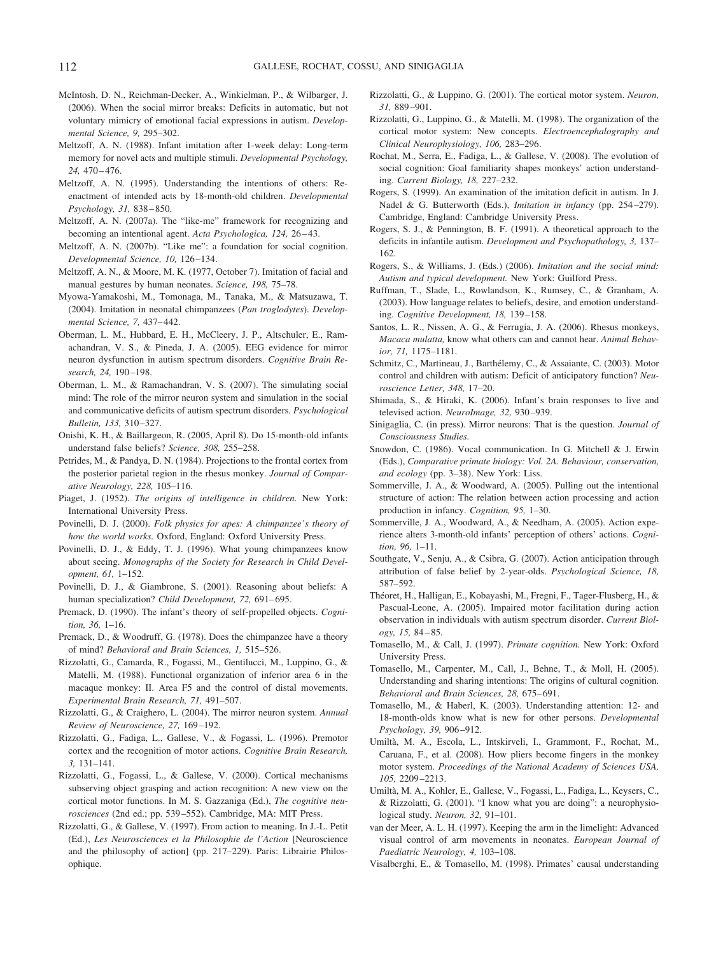- McIntosh, D. N., Reichman-Decker, A., Winkielman, P., & Wilbarger, J. (2006). When the social mirror breaks: Deficits in automatic, but not voluntary mimicry of emotional facial expressions in autism. *Developmental Science, 9,* 295–302.
- Meltzoff, A. N. (1988). Infant imitation after 1-week delay: Long-term memory for novel acts and multiple stimuli. *Developmental Psychology, 24,* 470–476.
- Meltzoff, A. N. (1995). Understanding the intentions of others: Reenactment of intended acts by 18-month-old children. *Developmental Psychology, 31,* 838–850.
- Meltzoff, A. N. (2007a). The "like-me" framework for recognizing and becoming an intentional agent. *Acta Psychologica, 124,* 26–43.
- Meltzoff, A. N. (2007b). "Like me": a foundation for social cognition. *Developmental Science, 10,* 126–134.
- Meltzoff, A. N., & Moore, M. K. (1977, October 7). Imitation of facial and manual gestures by human neonates. *Science, 198,* 75–78.
- Myowa-Yamakoshi, M., Tomonaga, M., Tanaka, M., & Matsuzawa, T. (2004). Imitation in neonatal chimpanzees (*Pan troglodytes*). *Developmental Science, 7,* 437–442.
- Oberman, L. M., Hubbard, E. H., McCleery, J. P., Altschuler, E., Ramachandran, V. S., & Pineda, J. A. (2005). EEG evidence for mirror neuron dysfunction in autism spectrum disorders. *Cognitive Brain Research, 24,* 190–198.
- Oberman, L. M., & Ramachandran, V. S. (2007). The simulating social mind: The role of the mirror neuron system and simulation in the social and communicative deficits of autism spectrum disorders. *Psychological Bulletin, 133,* 310–327.
- Onishi, K. H., & Baillargeon, R. (2005, April 8). Do 15-month-old infants understand false beliefs? *Science, 308,* 255–258.
- Petrides, M., & Pandya, D. N. (1984). Projections to the frontal cortex from the posterior parietal region in the rhesus monkey. *Journal of Comparative Neurology, 228,* 105–116.
- Piaget, J. (1952). *The origins of intelligence in children.* New York: International University Press.
- Povinelli, D. J. (2000). *Folk physics for apes: A chimpanzee's theory of how the world works.* Oxford, England: Oxford University Press.
- Povinelli, D. J., & Eddy, T. J. (1996). What young chimpanzees know about seeing. *Monographs of the Society for Research in Child Development, 61,* 1–152.
- Povinelli, D. J., & Giambrone, S. (2001). Reasoning about beliefs: A human specialization? *Child Development, 72,* 691–695.
- Premack, D. (1990). The infant's theory of self-propelled objects. *Cognition, 36,* 1–16.
- Premack, D., & Woodruff, G. (1978). Does the chimpanzee have a theory of mind? *Behavioral and Brain Sciences, 1,* 515–526.
- Rizzolatti, G., Camarda, R., Fogassi, M., Gentilucci, M., Luppino, G., & Matelli, M. (1988). Functional organization of inferior area 6 in the macaque monkey: II. Area F5 and the control of distal movements. *Experimental Brain Research, 71,* 491–507.
- Rizzolatti, G., & Craighero, L. (2004). The mirror neuron system. *Annual Review of Neuroscience, 27,* 169–192.
- Rizzolatti, G., Fadiga, L., Gallese, V., & Fogassi, L. (1996). Premotor cortex and the recognition of motor actions. *Cognitive Brain Research, 3,* 131–141.
- Rizzolatti, G., Fogassi, L., & Gallese, V. (2000). Cortical mechanisms subserving object grasping and action recognition: A new view on the cortical motor functions. In M. S. Gazzaniga (Ed.), *The cognitive neurosciences* (2nd ed.; pp. 539–552). Cambridge, MA: MIT Press.
- Rizzolatti, G., & Gallese, V. (1997). From action to meaning. In J.-L. Petit (Ed.), *Les Neurosciences et la Philosophie de l'Action* [Neuroscience and the philosophy of action] (pp. 217–229). Paris: Librairie Philosophique.
- Rizzolatti, G., & Luppino, G. (2001). The cortical motor system. *Neuron, 31,* 889–901.
- Rizzolatti, G., Luppino, G., & Matelli, M. (1998). The organization of the cortical motor system: New concepts. *Electroencephalography and Clinical Neurophysiology, 106,* 283–296.
- Rochat, M., Serra, E., Fadiga, L., & Gallese, V. (2008). The evolution of social cognition: Goal familiarity shapes monkeys' action understanding. *Current Biology, 18,* 227–232.
- Rogers, S. (1999). An examination of the imitation deficit in autism. In J. Nadel & G. Butterworth (Eds.), *Imitation in infancy* (pp. 254–279). Cambridge, England: Cambridge University Press.
- Rogers, S. J., & Pennington, B. F. (1991). A theoretical approach to the deficits in infantile autism. *Development and Psychopathology, 3,* 137– 162.
- Rogers, S., & Williams, J. (Eds.) (2006). *Imitation and the social mind: Autism and typical development.* New York: Guilford Press.
- Ruffman, T., Slade, L., Rowlandson, K., Rumsey, C., & Granham, A. (2003). How language relates to beliefs, desire, and emotion understanding. *Cognitive Development, 18,* 139–158.
- Santos, L. R., Nissen, A. G., & Ferrugia, J. A. (2006). Rhesus monkeys, *Macaca mulatta,* know what others can and cannot hear. *Animal Behavior, 71,* 1175–1181.
- Schmitz, C., Martineau, J., Barthélemy, C., & Assaiante, C. (2003). Motor control and children with autism: Deficit of anticipatory function? *Neuroscience Letter, 348,* 17–20.
- Shimada, S., & Hiraki, K. (2006). Infant's brain responses to live and televised action. *NeuroImage, 32,* 930–939.
- Sinigaglia, C. (in press). Mirror neurons: That is the question. *Journal of Consciousness Studies.*
- Snowdon, C. (1986). Vocal communication. In G. Mitchell & J. Erwin (Eds.), *Comparative primate biology: Vol. 2A. Behaviour, conservation, and ecology* (pp. 3–38). New York: Liss.
- Sommerville, J. A., & Woodward, A. (2005). Pulling out the intentional structure of action: The relation between action processing and action production in infancy. *Cognition, 95,* 1–30.
- Sommerville, J. A., Woodward, A., & Needham, A. (2005). Action experience alters 3-month-old infants' perception of others' actions. *Cognition, 96,* 1–11.
- Southgate, V., Senju, A., & Csibra, G. (2007). Action anticipation through attribution of false belief by 2-year-olds. *Psychological Science, 18,* 587–592.
- Théoret, H., Halligan, E., Kobayashi, M., Fregni, F., Tager-Flusberg, H., & Pascual-Leone, A. (2005). Impaired motor facilitation during action observation in individuals with autism spectrum disorder. *Current Biology, 15,* 84–85.
- Tomasello, M., & Call, J. (1997). *Primate cognition.* New York: Oxford University Press.
- Tomasello, M., Carpenter, M., Call, J., Behne, T., & Moll, H. (2005). Understanding and sharing intentions: The origins of cultural cognition. *Behavioral and Brain Sciences, 28,* 675–691.
- Tomasello, M., & Haberl, K. (2003). Understanding attention: 12- and 18-month-olds know what is new for other persons. *Developmental Psychology, 39,* 906–912.
- Umilta`, M. A., Escola, L., Intskirveli, I., Grammont, F., Rochat, M., Caruana, F., et al. (2008). How pliers become fingers in the monkey motor system. *Proceedings of the National Academy of Sciences USA, 105,* 2209–2213.
- Umilta`, M. A., Kohler, E., Gallese, V., Fogassi, L., Fadiga, L., Keysers, C., & Rizzolatti, G. (2001). "I know what you are doing": a neurophysiological study. *Neuron, 32,* 91–101.
- van der Meer, A. L. H. (1997). Keeping the arm in the limelight: Advanced visual control of arm movements in neonates. *European Journal of Paediatric Neurology, 4,* 103–108.
- Visalberghi, E., & Tomasello, M. (1998). Primates' causal understanding